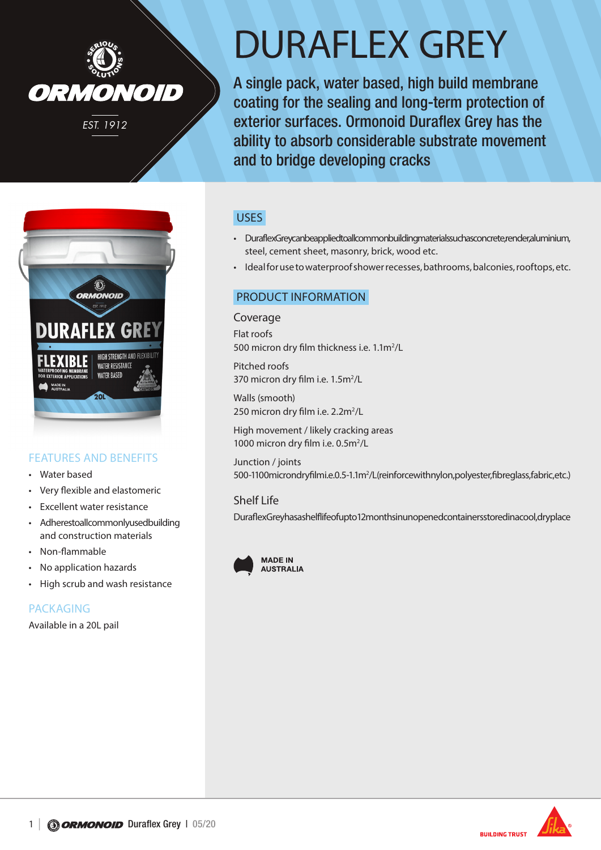

# DURAFLEX GREY

A single pack, water based, high build membrane coating for the sealing and long-term protection of exterior surfaces. Ormonoid Duraflex Grey has the ability to absorb considerable substrate movement and to bridge developing cracks



# FEATURES AND BENEFITS

- Water based
- Very flexible and elastomeric
- Excellent water resistance
- Adherestoall commonly used building and construction materials
- Non-flammable
- No application hazards
- High scrub and wash resistance

# PACKAGING

Available in a 20L pail

# USES

- Duraflex Grey can be applied to all common building materials such as concrete, render, aluminium, steel, cement sheet, masonry, brick, wood etc.
- Ideal for use to waterproof shower recesses, bathrooms, balconies, rooftops, etc.

## PRODUCT INFORMATION

Coverage Flat roofs 500 micron dry film thickness i.e. 1.1m<sup>2</sup>/L

Pitched roofs 370 micron dry film i.e. 1.5m<sup>2</sup>/L

Walls (smooth) 250 micron dry film i.e. 2.2m<sup>2</sup>/L

High movement / likely cracking areas 1000 micron dry film i.e. 0.5m<sup>2</sup>/L

Junction / joints 500-1100 microndry filmi.e.0.5-1.1 m<sup>2</sup>/L (reinforce with nylon, poly ester, fibreglass, fabric, etc.)

#### Shelf Life

Duraflex Grey has a shelf life of up to 12 months in unopened containers stored in a cool, dryplace





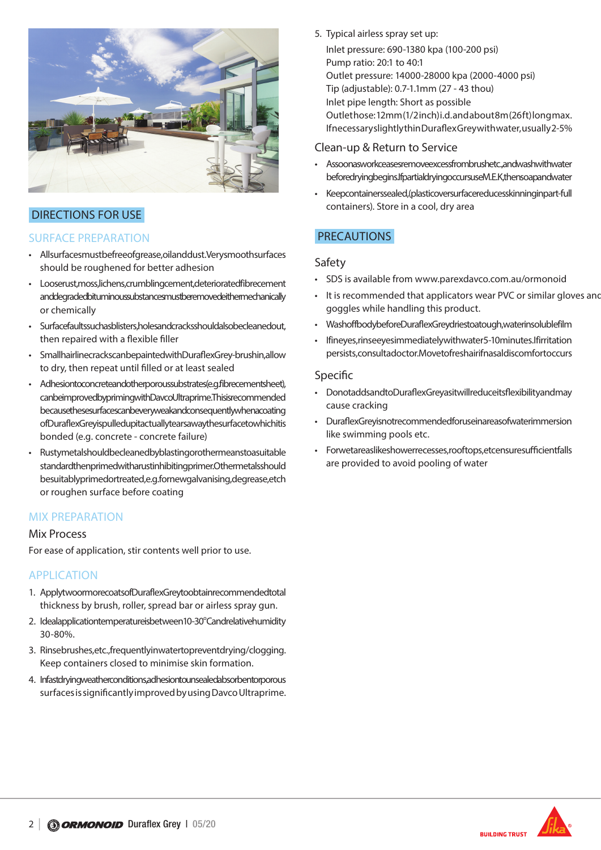

# DIRECTIONS FOR USE

# SURFACE PREPARATION

- Allsurfacesmustbefree of grease, oil and dust. Very smooth surfaces should be roughened for better adhesion
- Looserust, moss, lichens, crumbling cement, deteriorated fibre cement and degraded bituminous substances must be removed either mechanically or chemically
- Surface faults such as blisters, holes and cracks should also be cleaned out, then repaired with a flexible filler
- Smallhairlinecrackscanbepaintedwith Duraflex Grey-brushin, allow to dry, then repeat until filled or at least sealed
- Adhesiontoconcreteandotherporoussubstrates(e.g.fibrecementsheet), can be improved by priming with Davco Ultraprime. This is recommended because these surface scan be very weak and consequently when a coating of Duraflex Grey is pulled up it actually tears away the surface to which it is bonded (e.g. concrete - concrete failure)
- Rustymetalshould be cleaned by blasting or other means to a suitable standard then primed with a rust inhibiting primer. Other metals should besuitably primed or treated, e.g. for new galvanising, degrease, etch or roughen surface before coating

## MIX PREPARATION

#### Mix Process

For ease of application, stir contents well prior to use.

## APPLICATION

- 1. ApplytwoormorecoatsofDuraflexGreytoobtainrecommendedtotal thickness by brush, roller, spread bar or airless spray gun.
- 2. Idealapplicationtemperatureisbetween10-30° Candrelativehumidity 30-80%.
- 3. Rinsebrushes, etc., frequently inwater to prevent drying/clogging. Keep containers closed to minimise skin formation.
- 4. Infastdrying weather conditions, adhesion to unsealed absorbent or porous surfaces is significantly improved by using Davco Ultraprime.
- 5. Typical airless spray set up:
	- Inlet pressure: 690-1380 kpa (100-200 psi) Pump ratio: 20:1 to 40:1 Outlet pressure: 14000-28000 kpa (2000-4000 psi) Tip (adjustable): 0.7-1.1mm (27 - 43 thou) Inlet pipe length: Short as possible Outlet hose: 12mm (1/2 inch) i.d. and about 8m (26 ft) long max. If necessary slightly thin Duraflex Grey with water, usually 2-5%

## Clean-up & Return to Service

- Assoonasworkceasesremoveexcessfrombrushetc., and wash with water beforedrying begins. If partial drying occurs use M.E.K, then soap and water
- Keepcontainerssealed, (plasticover surface reduces skinning in part-full containers). Store in a cool, dry area

# PRECAUTIONS

### Safety

- SDS is available from www.parexdavco.com.au/ormonoid
- It is recommended that applicators wear PVC or similar gloves and goggles while handling this product.
- Wash off body before Duraflex Grey dries to a tough, water insoluble film
- If in eyes, rinse eye simmediately with water 5-10 minutes. If irritation persists, consultadoctor. Move to fresh air if nasal discomfort occurs

#### Specific

- Donotaddsand to Duraflex Greyasit will reduce its flexibility and may cause cracking
- Duraflex Grey is not recommended for use in areas of water immersion like swimming pools etc.
- Forwetareaslikeshowerrecesses, rooftops, etcensure sufficient falls are provided to avoid pooling of water